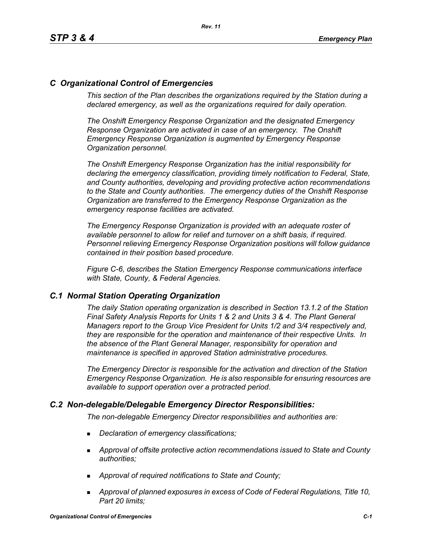# *C Organizational Control of Emergencies*

*This section of the Plan describes the organizations required by the Station during a declared emergency, as well as the organizations required for daily operation.*

*The Onshift Emergency Response Organization and the designated Emergency Response Organization are activated in case of an emergency. The Onshift Emergency Response Organization is augmented by Emergency Response Organization personnel.* 

*The Onshift Emergency Response Organization has the initial responsibility for declaring the emergency classification, providing timely notification to Federal, State, and County authorities, developing and providing protective action recommendations to the State and County authorities. The emergency duties of the Onshift Response Organization are transferred to the Emergency Response Organization as the emergency response facilities are activated.* 

*The Emergency Response Organization is provided with an adequate roster of available personnel to allow for relief and turnover on a shift basis, if required. Personnel relieving Emergency Response Organization positions will follow guidance contained in their position based procedure.*

*Figure C-6, describes the Station Emergency Response communications interface with State, County, & Federal Agencies.*

### *C.1 Normal Station Operating Organization*

*The daily Station operating organization is described in Section 13.1.2 of the Station Final Safety Analysis Reports for Units 1 & 2 and Units 3 & 4. The Plant General Managers report to the Group Vice President for Units 1/2 and 3/4 respectively and, they are responsible for the operation and maintenance of their respective Units. In the absence of the Plant General Manager, responsibility for operation and maintenance is specified in approved Station administrative procedures.*

*The Emergency Director is responsible for the activation and direction of the Station Emergency Response Organization. He is also responsible for ensuring resources are available to support operation over a protracted period.*

### *C.2 Non-delegable/Delegable Emergency Director Responsibilities:*

*The non-delegable Emergency Director responsibilities and authorities are:*

- *Declaration of emergency classifications;*
- *Approval of offsite protective action recommendations issued to State and County authorities;*
- *Approval of required notifications to State and County;*
- *Approval of planned exposures in excess of Code of Federal Regulations, Title 10, Part 20 limits;*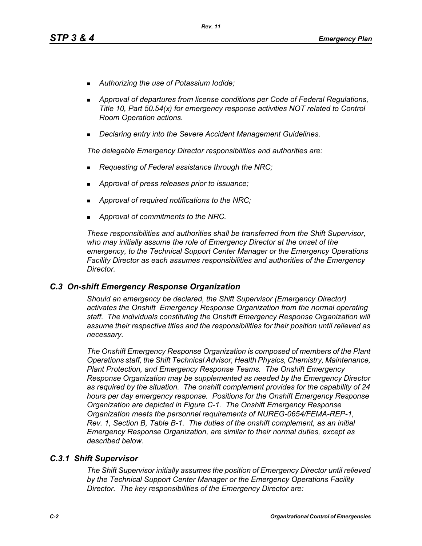- *Authorizing the use of Potassium Iodide;*
- *Approval of departures from license conditions per Code of Federal Regulations, Title 10, Part 50.54(x) for emergency response activities NOT related to Control Room Operation actions.*
- *Declaring entry into the Severe Accident Management Guidelines.*

*The delegable Emergency Director responsibilities and authorities are:*

- *Requesting of Federal assistance through the NRC;*
- *Approval of press releases prior to issuance;*
- *Approval of required notifications to the NRC;*
- *Approval of commitments to the NRC.*

*These responsibilities and authorities shall be transferred from the Shift Supervisor, who may initially assume the role of Emergency Director at the onset of the emergency, to the Technical Support Center Manager or the Emergency Operations Facility Director as each assumes responsibilities and authorities of the Emergency Director.*

## *C.3 On-shift Emergency Response Organization*

*Should an emergency be declared, the Shift Supervisor (Emergency Director) activates the Onshift Emergency Response Organization from the normal operating staff. The individuals constituting the Onshift Emergency Response Organization will assume their respective titles and the responsibilities for their position until relieved as necessary.*

*The Onshift Emergency Response Organization is composed of members of the Plant Operations staff, the Shift Technical Advisor, Health Physics, Chemistry, Maintenance, Plant Protection, and Emergency Response Teams. The Onshift Emergency Response Organization may be supplemented as needed by the Emergency Director as required by the situation. The onshift complement provides for the capability of 24 hours per day emergency response. Positions for the Onshift Emergency Response Organization are depicted in Figure C-1. The Onshift Emergency Response Organization meets the personnel requirements of NUREG-0654/FEMA-REP-1, Rev. 1, Section B, Table B-1. The duties of the onshift complement, as an initial Emergency Response Organization, are similar to their normal duties, except as described below.*

## *C.3.1 Shift Supervisor*

*The Shift Supervisor initially assumes the position of Emergency Director until relieved by the Technical Support Center Manager or the Emergency Operations Facility Director. The key responsibilities of the Emergency Director are:*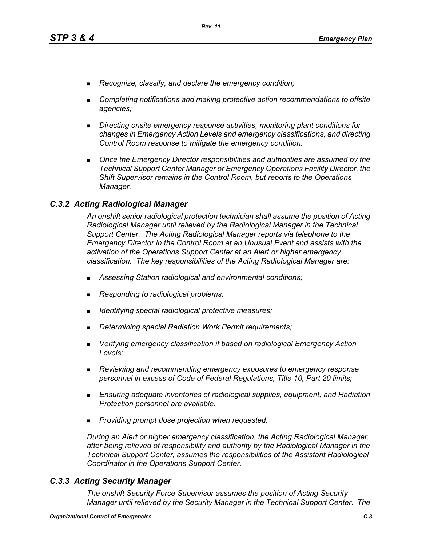- *Recognize, classify, and declare the emergency condition;*
- *Completing notifications and making protective action recommendations to offsite agencies;*
- *Directing onsite emergency response activities, monitoring plant conditions for changes in Emergency Action Levels and emergency classifications, and directing Control Room response to mitigate the emergency condition.*
- **Diangleh Emergency Director responsibilities and authorities are assumed by the** *Technical Support Center Manager or Emergency Operations Facility Director, the Shift Supervisor remains in the Control Room, but reports to the Operations Manager.*

### *C.3.2 Acting Radiological Manager*

*An onshift senior radiological protection technician shall assume the position of Acting Radiological Manager until relieved by the Radiological Manager in the Technical Support Center. The Acting Radiological Manager reports via telephone to the Emergency Director in the Control Room at an Unusual Event and assists with the activation of the Operations Support Center at an Alert or higher emergency classification. The key responsibilities of the Acting Radiological Manager are:*

- *Assessing Station radiological and environmental conditions;*
- *Responding to radiological problems;*
- *Identifying special radiological protective measures;*
- *Determining special Radiation Work Permit requirements;*
- *Verifying emergency classification if based on radiological Emergency Action Levels;*
- *Reviewing and recommending emergency exposures to emergency response personnel in excess of Code of Federal Regulations, Title 10, Part 20 limits;*
- *Ensuring adequate inventories of radiological supplies, equipment, and Radiation Protection personnel are available.*
- *Providing prompt dose projection when requested.*

*During an Alert or higher emergency classification, the Acting Radiological Manager, after being relieved of responsibility and authority by the Radiological Manager in the Technical Support Center, assumes the responsibilities of the Assistant Radiological Coordinator in the Operations Support Center.*

## *C.3.3 Acting Security Manager*

*The onshift Security Force Supervisor assumes the position of Acting Security Manager until relieved by the Security Manager in the Technical Support Center. The*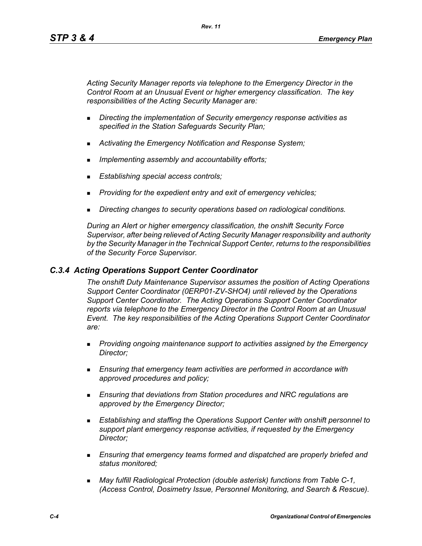*Acting Security Manager reports via telephone to the Emergency Director in the Control Room at an Unusual Event or higher emergency classification. The key responsibilities of the Acting Security Manager are:*

- *Directing the implementation of Security emergency response activities as specified in the Station Safeguards Security Plan;*
- *Activating the Emergency Notification and Response System;*
- *Implementing assembly and accountability efforts;*
- *Establishing special access controls;*
- *Providing for the expedient entry and exit of emergency vehicles;*
- *Directing changes to security operations based on radiological conditions.*

*During an Alert or higher emergency classification, the onshift Security Force Supervisor, after being relieved of Acting Security Manager responsibility and authority by the Security Manager in the Technical Support Center, returns to the responsibilities of the Security Force Supervisor.*

### *C.3.4 Acting Operations Support Center Coordinator*

*The onshift Duty Maintenance Supervisor assumes the position of Acting Operations Support Center Coordinator (0ERP01-ZV-SHO4) until relieved by the Operations Support Center Coordinator. The Acting Operations Support Center Coordinator reports via telephone to the Emergency Director in the Control Room at an Unusual Event. The key responsibilities of the Acting Operations Support Center Coordinator are:*

- *Providing ongoing maintenance support to activities assigned by the Emergency Director;*
- *Ensuring that emergency team activities are performed in accordance with approved procedures and policy;*
- *Ensuring that deviations from Station procedures and NRC regulations are approved by the Emergency Director;*
- *Establishing and staffing the Operations Support Center with onshift personnel to support plant emergency response activities, if requested by the Emergency Director;*
- *Ensuring that emergency teams formed and dispatched are properly briefed and status monitored;*
- *May fulfill Radiological Protection (double asterisk) functions from Table C-1, (Access Control, Dosimetry Issue, Personnel Monitoring, and Search & Rescue).*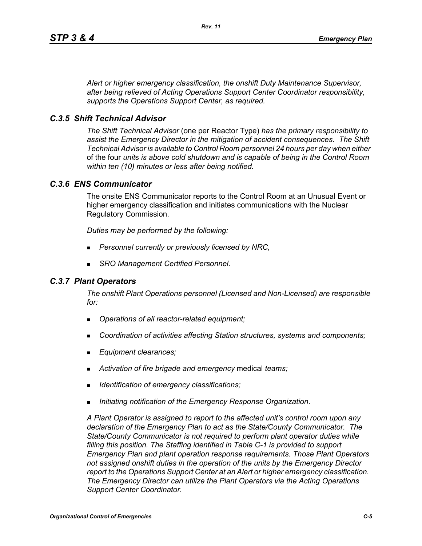*Alert or higher emergency classification, the onshift Duty Maintenance Supervisor, after being relieved of Acting Operations Support Center Coordinator responsibility, supports the Operations Support Center, as required.*

### *C.3.5 Shift Technical Advisor*

*The Shift Technical Advisor* (one per Reactor Type) *has the primary responsibility to assist the Emergency Director in the mitigation of accident consequences. The Shift Technical Advisor is available to Control Room personnel 24 hours per day when either*  of the four *unit*s *is above cold shutdown and is capable of being in the Control Room within ten (10) minutes or less after being notified.*

#### *C.3.6 ENS Communicator*

The onsite ENS Communicator reports to the Control Room at an Unusual Event or higher emergency classification and initiates communications with the Nuclear Regulatory Commission.

*Duties may be performed by the following:*

- *Personnel currently or previously licensed by NRC,*
- *SRO Management Certified Personnel.*

### *C.3.7 Plant Operators*

*The onshift Plant Operations personnel (Licensed and Non-Licensed) are responsible for:*

- *Operations of all reactor-related equipment;*
- *Coordination of activities affecting Station structures, systems and components;*
- *Equipment clearances;*
- *Activation of fire brigade and emergency* medical *teams;*
- *Identification of emergency classifications;*
- *Initiating notification of the Emergency Response Organization.*

*A Plant Operator is assigned to report to the affected unit's control room upon any declaration of the Emergency Plan to act as the State/County Communicator. The State/County Communicator is not required to perform plant operator duties while filling this position. The Staffing identified in Table C-1 is provided to support Emergency Plan and plant operation response requirements. Those Plant Operators not assigned onshift duties in the operation of the units by the Emergency Director report to the Operations Support Center at an Alert or higher emergency classification. The Emergency Director can utilize the Plant Operators via the Acting Operations Support Center Coordinator.*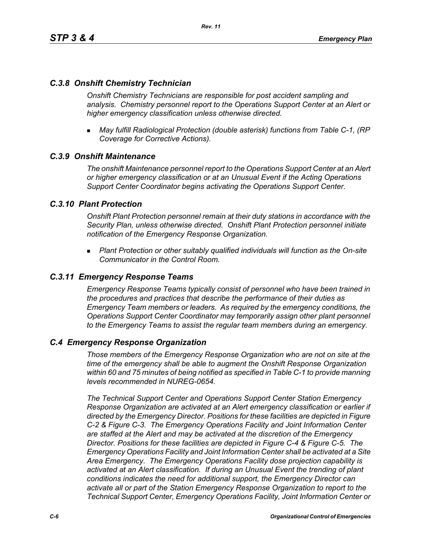# *C.3.8 Onshift Chemistry Technician*

*Onshift Chemistry Technicians are responsible for post accident sampling and analysis. Chemistry personnel report to the Operations Support Center at an Alert or higher emergency classification unless otherwise directed.*

 *May fulfill Radiological Protection (double asterisk) functions from Table C-1, (RP Coverage for Corrective Actions).*

## *C.3.9 Onshift Maintenance*

*The onshift Maintenance personnel report to the Operations Support Center at an Alert or higher emergency classification or at an Unusual Event if the Acting Operations Support Center Coordinator begins activating the Operations Support Center.*

### *C.3.10 Plant Protection*

*Onshift Plant Protection personnel remain at their duty stations in accordance with the Security Plan, unless otherwise directed. Onshift Plant Protection personnel initiate notification of the Emergency Response Organization.*

 *Plant Protection or other suitably qualified individuals will function as the On-site Communicator in the Control Room.*

### *C.3.11 Emergency Response Teams*

*Emergency Response Teams typically consist of personnel who have been trained in the procedures and practices that describe the performance of their duties as Emergency Team members or leaders. As required by the emergency conditions, the Operations Support Center Coordinator may temporarily assign other plant personnel to the Emergency Teams to assist the regular team members during an emergency.*

## *C.4 Emergency Response Organization*

*Those members of the Emergency Response Organization who are not on site at the time of the emergency shall be able to augment the Onshift Response Organization within 60 and 75 minutes of being notified as specified in Table C-1 to provide manning levels recommended in NUREG-0654.*

*The Technical Support Center and Operations Support Center Station Emergency Response Organization are activated at an Alert emergency classification or earlier if directed by the Emergency Director. Positions for these facilities are depicted in Figure C-2 & Figure C-3. The Emergency Operations Facility and Joint Information Center are staffed at the Alert and may be activated at the discretion of the Emergency Director. Positions for these facilities are depicted in Figure C-4 & Figure C-5. The Emergency Operations Facility and Joint Information Center shall be activated at a Site Area Emergency. The Emergency Operations Facility dose projection capability is activated at an Alert classification. If during an Unusual Event the trending of plant conditions indicates the need for additional support, the Emergency Director can activate all or part of the Station Emergency Response Organization to report to the Technical Support Center, Emergency Operations Facility, Joint Information Center or*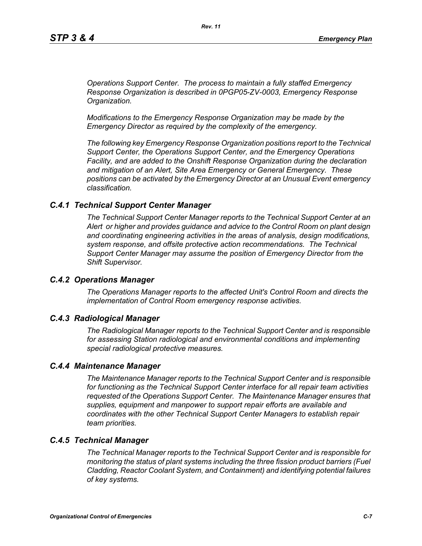*Operations Support Center. The process to maintain a fully staffed Emergency Response Organization is described in 0PGP05-ZV-0003, Emergency Response Organization.*

*Modifications to the Emergency Response Organization may be made by the Emergency Director as required by the complexity of the emergency.*

*The following key Emergency Response Organization positions report to the Technical Support Center, the Operations Support Center, and the Emergency Operations Facility, and are added to the Onshift Response Organization during the declaration and mitigation of an Alert, Site Area Emergency or General Emergency. These positions can be activated by the Emergency Director at an Unusual Event emergency classification.*

#### *C.4.1 Technical Support Center Manager*

*The Technical Support Center Manager reports to the Technical Support Center at an Alert or higher and provides guidance and advice to the Control Room on plant design and coordinating engineering activities in the areas of analysis, design modifications, system response, and offsite protective action recommendations. The Technical Support Center Manager may assume the position of Emergency Director from the Shift Supervisor.*

#### *C.4.2 Operations Manager*

*The Operations Manager reports to the affected Unit's Control Room and directs the implementation of Control Room emergency response activities.*

#### *C.4.3 Radiological Manager*

*The Radiological Manager reports to the Technical Support Center and is responsible for assessing Station radiological and environmental conditions and implementing special radiological protective measures.*

#### *C.4.4 Maintenance Manager*

*The Maintenance Manager reports to the Technical Support Center and is responsible for functioning as the Technical Support Center interface for all repair team activities requested of the Operations Support Center. The Maintenance Manager ensures that supplies, equipment and manpower to support repair efforts are available and coordinates with the other Technical Support Center Managers to establish repair team priorities.* 

### *C.4.5 Technical Manager*

*The Technical Manager reports to the Technical Support Center and is responsible for monitoring the status of plant systems including the three fission product barriers (Fuel Cladding, Reactor Coolant System, and Containment) and identifying potential failures of key systems.*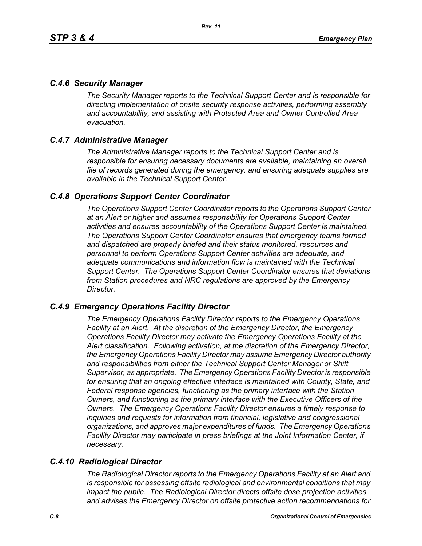## *C.4.6 Security Manager*

*The Security Manager reports to the Technical Support Center and is responsible for directing implementation of onsite security response activities, performing assembly and accountability, and assisting with Protected Area and Owner Controlled Area evacuation.* 

## *C.4.7 Administrative Manager*

*The Administrative Manager reports to the Technical Support Center and is responsible for ensuring necessary documents are available, maintaining an overall file of records generated during the emergency, and ensuring adequate supplies are available in the Technical Support Center.* 

### *C.4.8 Operations Support Center Coordinator*

*The Operations Support Center Coordinator reports to the Operations Support Center at an Alert or higher and assumes responsibility for Operations Support Center activities and ensures accountability of the Operations Support Center is maintained. The Operations Support Center Coordinator ensures that emergency teams formed and dispatched are properly briefed and their status monitored, resources and personnel to perform Operations Support Center activities are adequate, and adequate communications and information flow is maintained with the Technical Support Center. The Operations Support Center Coordinator ensures that deviations from Station procedures and NRC regulations are approved by the Emergency Director.* 

### *C.4.9 Emergency Operations Facility Director*

*The Emergency Operations Facility Director reports to the Emergency Operations Facility at an Alert. At the discretion of the Emergency Director, the Emergency Operations Facility Director may activate the Emergency Operations Facility at the Alert classification. Following activation, at the discretion of the Emergency Director, the Emergency Operations Facility Director may assume Emergency Director authority and responsibilities from either the Technical Support Center Manager or Shift Supervisor, as appropriate. The Emergency Operations Facility Director is responsible*  for ensuring that an ongoing effective interface is maintained with County, State, and *Federal response agencies, functioning as the primary interface with the Station Owners, and functioning as the primary interface with the Executive Officers of the Owners. The Emergency Operations Facility Director ensures a timely response to inquiries and requests for information from financial, legislative and congressional organizations, and approves major expenditures of funds. The Emergency Operations Facility Director may participate in press briefings at the Joint Information Center, if necessary.* 

## *C.4.10 Radiological Director*

*The Radiological Director reports to the Emergency Operations Facility at an Alert and is responsible for assessing offsite radiological and environmental conditions that may impact the public. The Radiological Director directs offsite dose projection activities and advises the Emergency Director on offsite protective action recommendations for*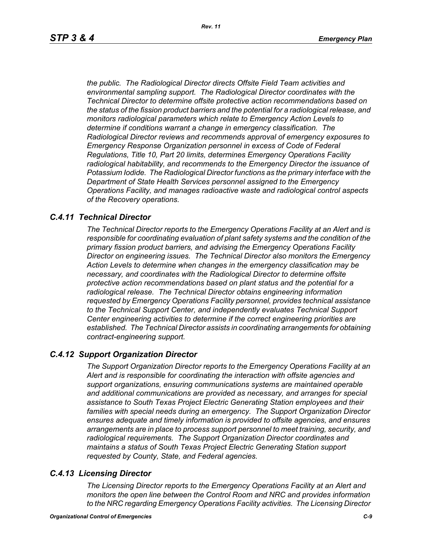*the public. The Radiological Director directs Offsite Field Team activities and environmental sampling support. The Radiological Director coordinates with the Technical Director to determine offsite protective action recommendations based on the status of the fission product barriers and the potential for a radiological release, and monitors radiological parameters which relate to Emergency Action Levels to determine if conditions warrant a change in emergency classification. The Radiological Director reviews and recommends approval of emergency exposures to Emergency Response Organization personnel in excess of Code of Federal Regulations, Title 10, Part 20 limits, determines Emergency Operations Facility radiological habitability, and recommends to the Emergency Director the issuance of Potassium Iodide. The Radiological Director functions as the primary interface with the Department of State Health Services personnel assigned to the Emergency Operations Facility, and manages radioactive waste and radiological control aspects of the Recovery operations.* 

### *C.4.11 Technical Director*

*The Technical Director reports to the Emergency Operations Facility at an Alert and is responsible for coordinating evaluation of plant safety systems and the condition of the primary fission product barriers, and advising the Emergency Operations Facility Director on engineering issues. The Technical Director also monitors the Emergency Action Levels to determine when changes in the emergency classification may be necessary, and coordinates with the Radiological Director to determine offsite protective action recommendations based on plant status and the potential for a radiological release. The Technical Director obtains engineering information requested by Emergency Operations Facility personnel, provides technical assistance to the Technical Support Center, and independently evaluates Technical Support Center engineering activities to determine if the correct engineering priorities are established. The Technical Director assists in coordinating arrangements for obtaining contract-engineering support.* 

### *C.4.12 Support Organization Director*

*The Support Organization Director reports to the Emergency Operations Facility at an Alert and is responsible for coordinating the interaction with offsite agencies and support organizations, ensuring communications systems are maintained operable and additional communications are provided as necessary, and arranges for special assistance to South Texas Project Electric Generating Station employees and their families with special needs during an emergency. The Support Organization Director ensures adequate and timely information is provided to offsite agencies, and ensures arrangements are in place to process support personnel to meet training, security, and radiological requirements. The Support Organization Director coordinates and maintains a status of South Texas Project Electric Generating Station support requested by County, State, and Federal agencies.*

### *C.4.13 Licensing Director*

*The Licensing Director reports to the Emergency Operations Facility at an Alert and monitors the open line between the Control Room and NRC and provides information to the NRC regarding Emergency Operations Facility activities. The Licensing Director*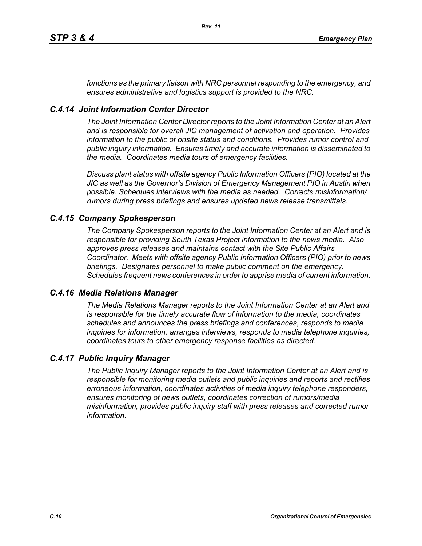*functions as the primary liaison with NRC personnel responding to the emergency, and ensures administrative and logistics support is provided to the NRC.*

## *C.4.14 Joint Information Center Director*

*The Joint Information Center Director reports to the Joint Information Center at an Alert and is responsible for overall JIC management of activation and operation. Provides information to the public of onsite status and conditions. Provides rumor control and public inquiry information. Ensures timely and accurate information is disseminated to the media. Coordinates media tours of emergency facilities.* 

*Discuss plant status with offsite agency Public Information Officers (PIO) located at the JIC as well as the Governor's Division of Emergency Management PIO in Austin when possible. Schedules interviews with the media as needed. Corrects misinformation/ rumors during press briefings and ensures updated news release transmittals.*

### *C.4.15 Company Spokesperson*

*The Company Spokesperson reports to the Joint Information Center at an Alert and is responsible for providing South Texas Project information to the news media. Also approves press releases and maintains contact with the Site Public Affairs Coordinator. Meets with offsite agency Public Information Officers (PIO) prior to news briefings. Designates personnel to make public comment on the emergency. Schedules frequent news conferences in order to apprise media of current information.* 

### *C.4.16 Media Relations Manager*

*The Media Relations Manager reports to the Joint Information Center at an Alert and is responsible for the timely accurate flow of information to the media, coordinates schedules and announces the press briefings and conferences, responds to media inquiries for information, arranges interviews, responds to media telephone inquiries, coordinates tours to other emergency response facilities as directed.*

### *C.4.17 Public Inquiry Manager*

*The Public Inquiry Manager reports to the Joint Information Center at an Alert and is responsible for monitoring media outlets and public inquiries and reports and rectifies erroneous information, coordinates activities of media inquiry telephone responders, ensures monitoring of news outlets, coordinates correction of rumors/media misinformation, provides public inquiry staff with press releases and corrected rumor information.*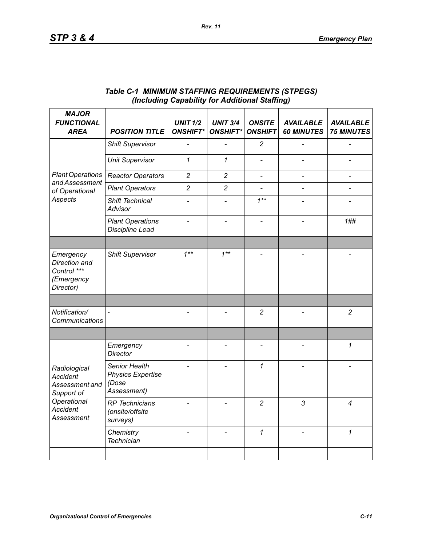| <b>MAJOR</b><br><b>FUNCTIONAL</b><br><b>AREA</b>                                                                | <b>POSITION TITLE</b>                                             | <b>UNIT 1/2</b><br><b>ONSHIFT*</b> | <b>UNIT 3/4</b><br><b>ONSHIFT*</b> | <b>ONSITE</b><br><b>ONSHIFT</b> | <b>AVAILABLE</b><br><b>60 MINUTES</b> | <b>AVAILABLE</b><br><b>75 MINUTES</b> |
|-----------------------------------------------------------------------------------------------------------------|-------------------------------------------------------------------|------------------------------------|------------------------------------|---------------------------------|---------------------------------------|---------------------------------------|
| <b>Plant Operations</b><br>and Assessment<br>of Operational<br>Aspects                                          | <b>Shift Supervisor</b>                                           | $\overline{\phantom{a}}$           |                                    | $\overline{c}$                  |                                       |                                       |
|                                                                                                                 | <b>Unit Supervisor</b>                                            | 1                                  | $\mathcal I$                       | $\qquad \qquad \blacksquare$    |                                       |                                       |
|                                                                                                                 | <b>Reactor Operators</b>                                          | $\overline{c}$                     | $\overline{c}$                     | $\overline{a}$                  | $\overline{a}$                        | $\overline{\phantom{a}}$              |
|                                                                                                                 | <b>Plant Operators</b>                                            | $\overline{c}$                     | $\overline{c}$                     | $\overline{\phantom{0}}$        |                                       |                                       |
|                                                                                                                 | Shift Technical<br>Advisor                                        |                                    |                                    | $1***$                          |                                       |                                       |
|                                                                                                                 | <b>Plant Operations</b><br>Discipline Lead                        |                                    |                                    |                                 |                                       | 1##                                   |
|                                                                                                                 |                                                                   |                                    |                                    |                                 |                                       |                                       |
| Emergency<br>Direction and<br>Control ***<br>(Emergency<br>Director)                                            | <b>Shift Supervisor</b>                                           | $1***$                             | $1***$                             |                                 |                                       |                                       |
|                                                                                                                 |                                                                   |                                    |                                    |                                 |                                       |                                       |
| Notification/<br>Communications                                                                                 |                                                                   |                                    |                                    | $\overline{c}$                  |                                       | $\overline{c}$                        |
|                                                                                                                 |                                                                   |                                    |                                    |                                 |                                       |                                       |
| Radiological<br>Accident<br>Assessment and<br>Support of<br>Operational<br><b>Accident</b><br><b>Assessment</b> | Emergency<br><b>Director</b>                                      |                                    |                                    | $\overline{a}$                  |                                       | 1                                     |
|                                                                                                                 | Senior Health<br><b>Physics Expertise</b><br>(Dose<br>Assessment) |                                    |                                    | $\mathbf{1}$                    |                                       |                                       |
|                                                                                                                 | <b>RP</b> Technicians<br>(onsite/offsite<br>surveys)              |                                    |                                    | $\overline{c}$                  | 3                                     | 4                                     |
|                                                                                                                 | Chemistry<br>Technician                                           |                                    |                                    | $\mathbf{1}$                    |                                       | $\mathcal I$                          |
|                                                                                                                 |                                                                   |                                    |                                    |                                 |                                       |                                       |

### *Table C-1 MINIMUM STAFFING REQUIREMENTS (STPEGS) (Including Capability for Additional Staffing)*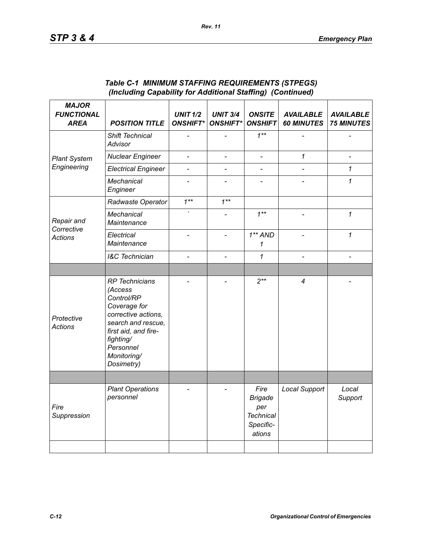| <b>MAJOR</b><br><b>FUNCTIONAL</b><br><b>AREA</b> | <b>POSITION TITLE</b>                                                                                                                                                                      | <b>UNIT 1/2</b><br><b>ONSHIFT*</b> | <b>UNIT 3/4</b><br><b>ONSHIFT*</b> | <b>ONSITE</b><br><b>ONSHIFT</b>                                          | <b>AVAILABLE</b><br><b>60 MINUTES</b> | <b>AVAILABLE</b><br><b>75 MINUTES</b> |
|--------------------------------------------------|--------------------------------------------------------------------------------------------------------------------------------------------------------------------------------------------|------------------------------------|------------------------------------|--------------------------------------------------------------------------|---------------------------------------|---------------------------------------|
| <b>Plant System</b><br>Engineering               | Shift Technical<br>Advisor                                                                                                                                                                 |                                    |                                    | $1***$                                                                   |                                       |                                       |
|                                                  | <b>Nuclear Engineer</b>                                                                                                                                                                    | $\overline{\phantom{a}}$           | $\qquad \qquad \blacksquare$       | $\qquad \qquad \blacksquare$                                             | $\boldsymbol{\mathcal{I}}$            |                                       |
|                                                  | <b>Electrical Engineer</b>                                                                                                                                                                 | $\overline{a}$                     |                                    |                                                                          | $\overline{a}$                        | 1                                     |
|                                                  | Mechanical<br>Engineer                                                                                                                                                                     |                                    |                                    |                                                                          |                                       | $\boldsymbol{\mathcal{I}}$            |
| Repair and<br>Corrective<br><b>Actions</b>       | Radwaste Operator                                                                                                                                                                          | $1***$                             | $1***$                             |                                                                          |                                       |                                       |
|                                                  | Mechanical<br>Maintenance                                                                                                                                                                  |                                    |                                    | $1***$                                                                   | $\overline{\phantom{0}}$              | $\mathbf{1}$                          |
|                                                  | Electrical<br>Maintenance                                                                                                                                                                  | $\overline{a}$                     | $\overline{\phantom{0}}$           | $1**AND$<br>1                                                            | $\frac{1}{2}$                         | $\mathbf{1}$                          |
|                                                  | <b>I&amp;C</b> Technician                                                                                                                                                                  | $\overline{a}$                     | $\overline{a}$                     | 1                                                                        | $\overline{\phantom{0}}$              | $\overline{a}$                        |
|                                                  |                                                                                                                                                                                            |                                    |                                    |                                                                          |                                       |                                       |
| Protective<br><b>Actions</b>                     | <b>RP</b> Technicians<br>(Access<br>Control/RP<br>Coverage for<br>corrective actions,<br>search and rescue,<br>first aid, and fire-<br>fighting/<br>Personnel<br>Monitoring/<br>Dosimetry) |                                    |                                    | $2**$                                                                    | 4                                     |                                       |
|                                                  |                                                                                                                                                                                            |                                    |                                    |                                                                          |                                       |                                       |
| Fire<br>Suppression                              | <b>Plant Operations</b><br>personnel                                                                                                                                                       |                                    |                                    | Fire<br><b>Brigade</b><br>per<br><b>Technical</b><br>Specific-<br>ations | <b>Local Support</b>                  | Local<br>Support                      |
|                                                  |                                                                                                                                                                                            |                                    |                                    |                                                                          |                                       |                                       |

### *Table C-1 MINIMUM STAFFING REQUIREMENTS (STPEGS) (Including Capability for Additional Staffing) (Continued)*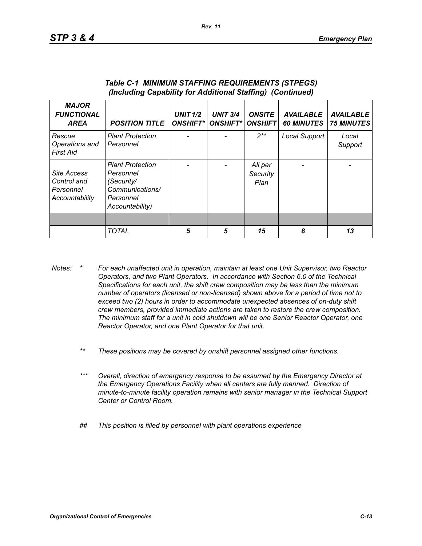| <b>MAJOR</b><br><b>FUNCTIONAL</b><br><b>AREA</b>          | <b>POSITION TITLE</b>                                                                                 | <b>UNIT 1/2</b><br><b>ONSHIFT*</b> | <b>UNIT 3/4</b><br><b>ONSHIFT*I</b> | <b>ONSITE</b><br><b>ONSHIFT</b> | <b>AVAILABLE</b><br><b>60 MINUTES</b> | <b>AVAILABLE</b><br><b>75 MINUTES</b> |
|-----------------------------------------------------------|-------------------------------------------------------------------------------------------------------|------------------------------------|-------------------------------------|---------------------------------|---------------------------------------|---------------------------------------|
| Rescue<br>Operations and<br>First Aid                     | <b>Plant Protection</b><br>Personnel                                                                  |                                    |                                     | $2**$                           | Local Support                         | Local<br>Support                      |
| Site Access<br>Control and<br>Personnel<br>Accountability | <b>Plant Protection</b><br>Personnel<br>(Security/<br>Communications/<br>Personnel<br>Accountability) |                                    |                                     | All per<br>Security<br>Plan     |                                       |                                       |
|                                                           |                                                                                                       |                                    |                                     |                                 |                                       |                                       |
|                                                           | <b>TOTAL</b>                                                                                          | 5                                  | 5                                   | 15                              | 8                                     | 13                                    |

#### *Table C-1 MINIMUM STAFFING REQUIREMENTS (STPEGS) (Including Capability for Additional Staffing) (Continued)*

- *Notes: \* For each unaffected unit in operation, maintain at least one Unit Supervisor, two Reactor Operators, and two Plant Operators. In accordance with Section 6.0 of the Technical Specifications for each unit, the shift crew composition may be less than the minimum number of operators (licensed or non-licensed) shown above for a period of time not to exceed two (2) hours in order to accommodate unexpected absences of on-duty shift crew members, provided immediate actions are taken to restore the crew composition. The minimum staff for a unit in cold shutdown will be one Senior Reactor Operator, one Reactor Operator, and one Plant Operator for that unit.*
	- *\*\* These positions may be covered by onshift personnel assigned other functions.*
	- *\*\*\* Overall, direction of emergency response to be assumed by the Emergency Director at the Emergency Operations Facility when all centers are fully manned. Direction of minute-to-minute facility operation remains with senior manager in the Technical Support Center or Control Room.*
	- *## This position is filled by personnel with plant operations experience*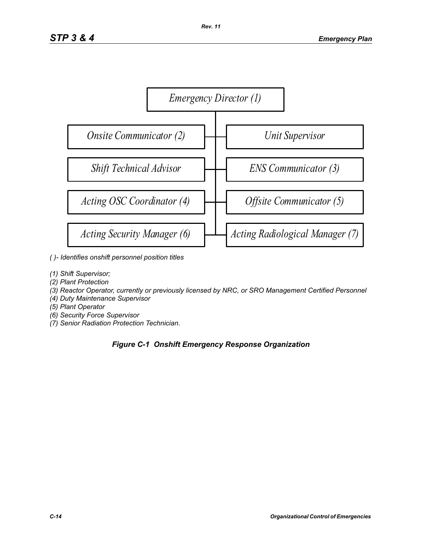

- *( )- Identifies onshift personnel position titles*
- *(1) Shift Supervisor;*
- *(2) Plant Protection*
- *(3) Reactor Operator, currently or previously licensed by NRC, or SRO Management Certified Personnel*
- *(4) Duty Maintenance Supervisor*
- *(5) Plant Operator*
- *(6) Security Force Supervisor*
- *(7) Senior Radiation Protection Technician.*

## *Figure C-1 Onshift Emergency Response Organization*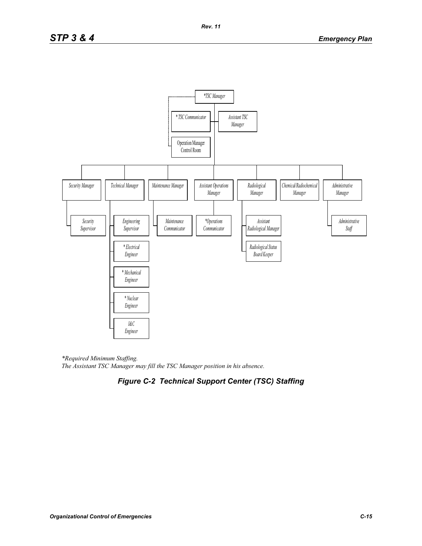

*\*Required Minimum Staffing. The Assistant TSC Manager may fill the TSC Manager position in his absence.* 

## *Figure C-2 Technical Support Center (TSC) Staffing*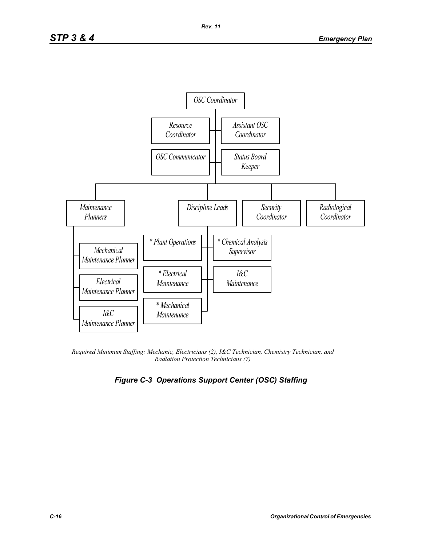

*Required Minimum Staffing: Mechanic, Electricians (2), I&C Technician, Chemistry Technician, and Radiation Protection Technicians (7)* 

# *Figure C-3 Operations Support Center (OSC) Staffing*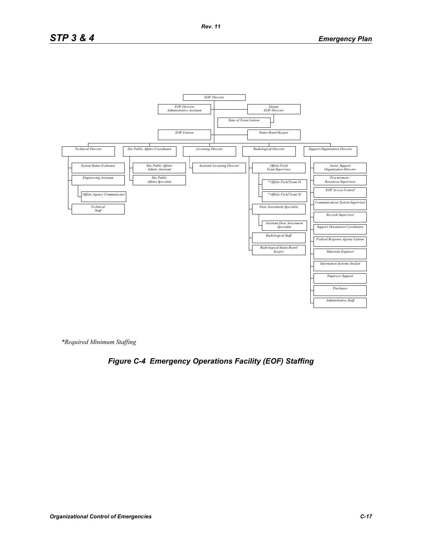

*\*Required Minimum Staffing*

# *Figure C-4 Emergency Operations Facility (EOF) Staffing*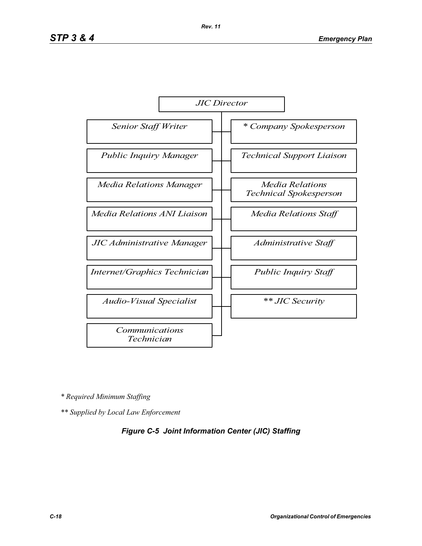

*\* Required Minimum Staffing*

*\*\* Supplied by Local Law Enforcement* 

## *Figure C-5 Joint Information Center (JIC) Staffing*